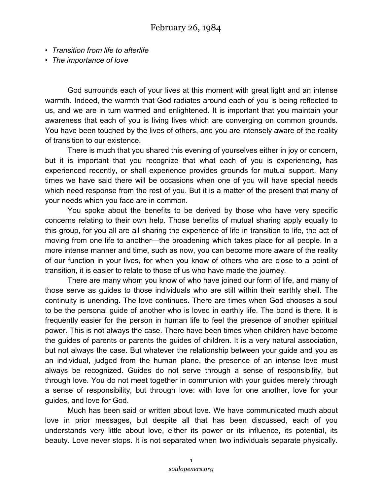- *Transition from life to afterlife*
- *The importance of love*

God surrounds each of your lives at this moment with great light and an intense warmth. Indeed, the warmth that God radiates around each of you is being reflected to us, and we are in turn warmed and enlightened. It is important that you maintain your awareness that each of you is living lives which are converging on common grounds. You have been touched by the lives of others, and you are intensely aware of the reality of transition to our existence.

There is much that you shared this evening of yourselves either in joy or concern, but it is important that you recognize that what each of you is experiencing, has experienced recently, or shall experience provides grounds for mutual support. Many times we have said there will be occasions when one of you will have special needs which need response from the rest of you. But it is a matter of the present that many of your needs which you face are in common.

You spoke about the benefits to be derived by those who have very specific concerns relating to their own help. Those benefits of mutual sharing apply equally to this group, for you all are all sharing the experience of life in transition to life, the act of moving from one life to another—the broadening which takes place for all people. In a more intense manner and time, such as now, you can become more aware of the reality of our function in your lives, for when you know of others who are close to a point of transition, it is easier to relate to those of us who have made the journey.

There are many whom you know of who have joined our form of life, and many of those serve as guides to those individuals who are still within their earthly shell. The continuity is unending. The love continues. There are times when God chooses a soul to be the personal guide of another who is loved in earthly life. The bond is there. It is frequently easier for the person in human life to feel the presence of another spiritual power. This is not always the case. There have been times when children have become the guides of parents or parents the guides of children. It is a very natural association, but not always the case. But whatever the relationship between your guide and you as an individual, judged from the human plane, the presence of an intense love must always be recognized. Guides do not serve through a sense of responsibility, but through love. You do not meet together in communion with your guides merely through a sense of responsibility, but through love: with love for one another, love for your guides, and love for God.

Much has been said or written about love. We have communicated much about love in prior messages, but despite all that has been discussed, each of you understands very little about love, either its power or its influence, its potential, its beauty. Love never stops. It is not separated when two individuals separate physically.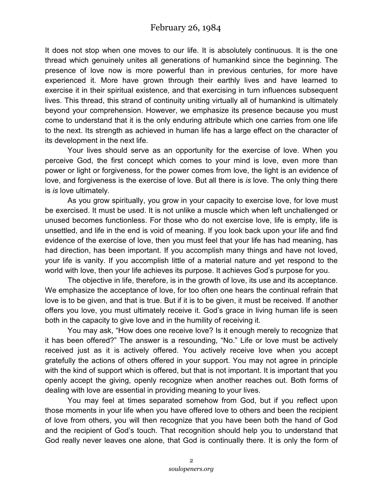It does not stop when one moves to our life. It is absolutely continuous. It is the one thread which genuinely unites all generations of humankind since the beginning. The presence of love now is more powerful than in previous centuries, for more have experienced it. More have grown through their earthly lives and have learned to exercise it in their spiritual existence, and that exercising in turn influences subsequent lives. This thread, this strand of continuity uniting virtually all of humankind is ultimately beyond your comprehension. However, we emphasize its presence because you must come to understand that it is the only enduring attribute which one carries from one life to the next. Its strength as achieved in human life has a large effect on the character of its development in the next life.

Your lives should serve as an opportunity for the exercise of love. When you perceive God, the first concept which comes to your mind is love, even more than power or light or forgiveness, for the power comes from love, the light is an evidence of love, and forgiveness is the exercise of love. But all there is *is* love. The only thing there is *is* love ultimately.

As you grow spiritually, you grow in your capacity to exercise love, for love must be exercised. It must be used. It is not unlike a muscle which when left unchallenged or unused becomes functionless. For those who do not exercise love, life is empty, life is unsettled, and life in the end is void of meaning. If you look back upon your life and find evidence of the exercise of love, then you must feel that your life has had meaning, has had direction, has been important. If you accomplish many things and have not loved, your life is vanity. If you accomplish little of a material nature and yet respond to the world with love, then your life achieves its purpose. It achieves God's purpose for you.

The objective in life, therefore, is in the growth of love, its use and its acceptance. We emphasize the acceptance of love, for too often one hears the continual refrain that love is to be given, and that is true. But if it is to be given, it must be received. If another offers you love, you must ultimately receive it. God's grace in living human life is seen both in the capacity to give love and in the humility of receiving it.

You may ask, "How does one receive love? Is it enough merely to recognize that it has been offered?" The answer is a resounding, "No." Life or love must be actively received just as it is actively offered. You actively receive love when you accept gratefully the actions of others offered in your support. You may not agree in principle with the kind of support which is offered, but that is not important. It is important that you openly accept the giving, openly recognize when another reaches out. Both forms of dealing with love are essential in providing meaning to your lives.

You may feel at times separated somehow from God, but if you reflect upon those moments in your life when you have offered love to others and been the recipient of love from others, you will then recognize that you have been both the hand of God and the recipient of God's touch. That recognition should help you to understand that God really never leaves one alone, that God is continually there. It is only the form of